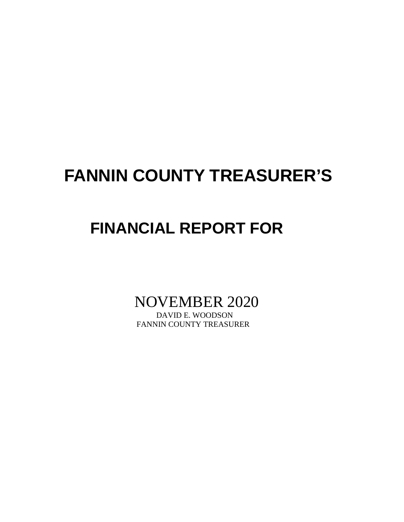# **FANNIN COUNTY TREASURER'S**

# **FINANCIAL REPORT FOR**

NOVEMBER 2020

FANNIN COUNTY TREASURER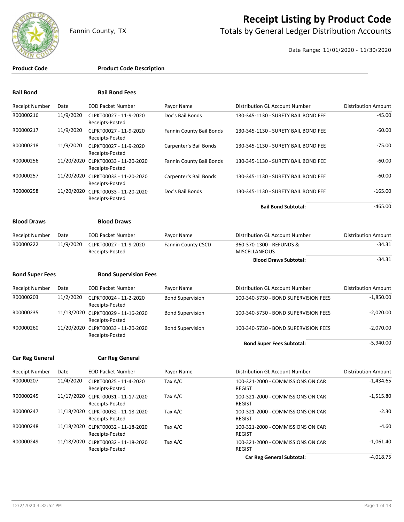

## **Receipt Listing by Product Code**

Fannin County, TX **The County of Totals by General Ledger Distribution Accounts** 

Date Range: 11/01/2020 - 11/30/2020

### **Product Code Product Code Description**

| <b>Bail Bond</b>       |           | <b>Bail Bond Fees</b>                                 |                           |                                                    |                            |
|------------------------|-----------|-------------------------------------------------------|---------------------------|----------------------------------------------------|----------------------------|
| <b>Receipt Number</b>  | Date      | <b>EOD Packet Number</b>                              | Payor Name                | Distribution GL Account Number                     | <b>Distribution Amount</b> |
| R00000216              | 11/9/2020 | CLPKT00027 - 11-9-2020<br>Receipts-Posted             | Doc's Bail Bonds          | 130-345-1130 - SURETY BAIL BOND FEE                | $-45.00$                   |
| R00000217              | 11/9/2020 | CLPKT00027 - 11-9-2020<br>Receipts-Posted             | Fannin County Bail Bonds  | 130-345-1130 - SURETY BAIL BOND FEE                | $-60.00$                   |
| R00000218              | 11/9/2020 | CLPKT00027 - 11-9-2020<br>Receipts-Posted             | Carpenter's Bail Bonds    | 130-345-1130 - SURETY BAIL BOND FEE                | $-75.00$                   |
| R00000256              |           | 11/20/2020 CLPKT00033 - 11-20-2020<br>Receipts-Posted | Fannin County Bail Bonds  | 130-345-1130 - SURETY BAIL BOND FEE                | $-60.00$                   |
| R00000257              |           | 11/20/2020 CLPKT00033 - 11-20-2020<br>Receipts-Posted | Carpenter's Bail Bonds    | 130-345-1130 - SURETY BAIL BOND FEE                | $-60.00$                   |
| R00000258              |           | 11/20/2020 CLPKT00033 - 11-20-2020<br>Receipts-Posted | Doc's Bail Bonds          | 130-345-1130 - SURETY BAIL BOND FEE                | $-165.00$                  |
|                        |           |                                                       |                           | <b>Bail Bond Subtotal:</b>                         | $-465.00$                  |
| <b>Blood Draws</b>     |           | <b>Blood Draws</b>                                    |                           |                                                    |                            |
| <b>Receipt Number</b>  | Date      | <b>EOD Packet Number</b>                              | Payor Name                | Distribution GL Account Number                     | <b>Distribution Amount</b> |
| R00000222              | 11/9/2020 | CLPKT00027 - 11-9-2020<br>Receipts-Posted             | <b>Fannin County CSCD</b> | 360-370-1300 - REFUNDS &<br><b>MISCELLANEOUS</b>   | $-34.31$                   |
|                        |           |                                                       |                           | <b>Blood Draws Subtotal:</b>                       | $-34.31$                   |
| <b>Bond Super Fees</b> |           | <b>Bond Supervision Fees</b>                          |                           |                                                    |                            |
| <b>Receipt Number</b>  | Date      | <b>EOD Packet Number</b>                              | Payor Name                | Distribution GL Account Number                     | <b>Distribution Amount</b> |
| R00000203              | 11/2/2020 | CLPKT00024 - 11-2-2020<br>Receipts-Posted             | <b>Bond Supervision</b>   | 100-340-5730 - BOND SUPERVISION FEES               | $-1,850.00$                |
| R00000235              |           | 11/13/2020 CLPKT00029 - 11-16-2020<br>Receipts-Posted | <b>Bond Supervision</b>   | 100-340-5730 - BOND SUPERVISION FEES               | $-2,020.00$                |
| R00000260              |           | 11/20/2020 CLPKT00033 - 11-20-2020<br>Receipts-Posted | <b>Bond Supervision</b>   | 100-340-5730 - BOND SUPERVISION FEES               | $-2,070.00$                |
|                        |           |                                                       |                           | <b>Bond Super Fees Subtotal:</b>                   | $-5,940.00$                |
| <b>Car Reg General</b> |           | <b>Car Reg General</b>                                |                           |                                                    |                            |
| Receipt Number         | Date      | <b>EOD Packet Number</b>                              | Payor Name                | Distribution GL Account Number                     | <b>Distribution Amount</b> |
| R00000207              | 11/4/2020 | CLPKT00025 - 11-4-2020<br>Receipts-Posted             | Tax A/C                   | 100-321-2000 - COMMISSIONS ON CAR<br><b>REGIST</b> | $-1,434.65$                |
| R00000245              |           | 11/17/2020 CLPKT00031 - 11-17-2020<br>Receipts-Posted | Tax A/C                   | 100-321-2000 - COMMISSIONS ON CAR<br><b>REGIST</b> | $-1,515.80$                |
| R00000247              |           | 11/18/2020 CLPKT00032 - 11-18-2020<br>Receipts-Posted | Tax A/C                   | 100-321-2000 - COMMISSIONS ON CAR<br><b>REGIST</b> | $-2.30$                    |
| R00000248              |           | 11/18/2020 CLPKT00032 - 11-18-2020<br>Receipts-Posted | Tax A/C                   | 100-321-2000 - COMMISSIONS ON CAR<br><b>REGIST</b> | -4.60                      |

Tax A/C 100-321-2000 - COMMISSIONS ON CAR -1,061.40

Car Reg General Subtotal: **Car Reg General Subtotal:** 4,018.75

REGIST

R00000249 11/18/2020 CLPKT00032 - 11-18-2020

Receipts-Posted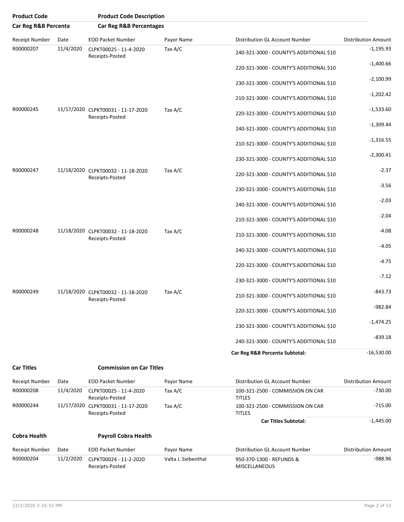| <b>Product Code</b>  |           | <b>Product Code Description</b>                       |                     |                                                   |                            |
|----------------------|-----------|-------------------------------------------------------|---------------------|---------------------------------------------------|----------------------------|
| Car Reg R&B Percenta |           | <b>Car Reg R&amp;B Percentages</b>                    |                     |                                                   |                            |
| Receipt Number       | Date      | <b>EOD Packet Number</b>                              | Payor Name          | Distribution GL Account Number                    | <b>Distribution Amount</b> |
| R00000207            | 11/4/2020 | CLPKT00025 - 11-4-2020<br>Receipts-Posted             | Tax A/C             | 240-321-3000 - COUNTY'S ADDITIONAL \$10           | $-1,195.93$                |
|                      |           |                                                       |                     | 220-321-3000 - COUNTY'S ADDITIONAL \$10           | $-1,400.66$                |
|                      |           |                                                       |                     | 230-321-3000 - COUNTY'S ADDITIONAL \$10           | $-2,100.99$                |
|                      |           |                                                       |                     | 210-321-3000 - COUNTY'S ADDITIONAL \$10           | $-1,202.42$                |
| R00000245            |           | 11/17/2020 CLPKT00031 - 11-17-2020<br>Receipts-Posted | Tax A/C             | 220-321-3000 - COUNTY'S ADDITIONAL \$10           | $-1,533.60$                |
|                      |           |                                                       |                     | 240-321-3000 - COUNTY'S ADDITIONAL \$10           | $-1,309.44$                |
|                      |           |                                                       |                     | 210-321-3000 - COUNTY'S ADDITIONAL \$10           | $-1,316.55$                |
|                      |           |                                                       |                     | 230-321-3000 - COUNTY'S ADDITIONAL \$10           | $-2,300.41$                |
| R00000247            |           | 11/18/2020 CLPKT00032 - 11-18-2020<br>Receipts-Posted | Tax A/C             | 220-321-3000 - COUNTY'S ADDITIONAL \$10           | $-2.37$                    |
|                      |           |                                                       |                     | 230-321-3000 - COUNTY'S ADDITIONAL \$10           | $-3.56$                    |
|                      |           |                                                       |                     | 240-321-3000 - COUNTY'S ADDITIONAL \$10           | $-2.03$                    |
|                      |           |                                                       |                     | 210-321-3000 - COUNTY'S ADDITIONAL \$10           | $-2.04$                    |
| R00000248            |           | 11/18/2020 CLPKT00032 - 11-18-2020<br>Receipts-Posted | Tax A/C             | 210-321-3000 - COUNTY'S ADDITIONAL \$10           | $-4.08$                    |
|                      |           |                                                       |                     | 240-321-3000 - COUNTY'S ADDITIONAL \$10           | $-4.05$                    |
|                      |           |                                                       |                     | 220-321-3000 - COUNTY'S ADDITIONAL \$10           | $-4.75$                    |
|                      |           |                                                       |                     | 230-321-3000 - COUNTY'S ADDITIONAL \$10           | $-7.12$                    |
| R00000249            |           | 11/18/2020 CLPKT00032 - 11-18-2020<br>Receipts-Posted | Tax A/C             | 210-321-3000 - COUNTY'S ADDITIONAL \$10           | $-843.73$                  |
|                      |           |                                                       |                     | 220-321-3000 - COUNTY'S ADDITIONAL \$10           | $-982.84$                  |
|                      |           |                                                       |                     | 230-321-3000 - COUNTY'S ADDITIONAL \$10           | $-1,474.25$                |
|                      |           |                                                       |                     | 240-321-3000 - COUNTY'S ADDITIONAL \$10           | $-839.18$                  |
|                      |           |                                                       |                     | Car Reg R&B Percenta Subtotal:                    | $-16,530.00$               |
| <b>Car Titles</b>    |           | <b>Commission on Car Titles</b>                       |                     |                                                   |                            |
| Receipt Number       | Date      | EOD Packet Number                                     | Payor Name          | Distribution GL Account Number                    | <b>Distribution Amount</b> |
| R00000208            | 11/4/2020 | CLPKT00025 - 11-4-2020<br>Receipts-Posted             | Tax A/C             | 100-321-2500 - COMMISSION ON CAR<br><b>TITLES</b> | $-730.00$                  |
| R00000244            |           | 11/17/2020 CLPKT00031 - 11-17-2020<br>Receipts-Posted | Tax A/C             | 100-321-2500 - COMMISSION ON CAR<br><b>TITLES</b> | $-715.00$                  |
|                      |           |                                                       |                     | <b>Car Titles Subtotal:</b>                       | $-1,445.00$                |
| <b>Cobra Health</b>  |           | <b>Payroll Cobra Health</b>                           |                     |                                                   |                            |
| Receipt Number       | Date      | <b>EOD Packet Number</b>                              | Payor Name          | Distribution GL Account Number                    | <b>Distribution Amount</b> |
| R00000204            | 11/2/2020 | CLPKT00024 - 11-2-2020<br>Receipts-Posted             | Valta J. Siebenthal | 950-370-1300 - REFUNDS &<br>MISCELLANEOUS         | $-988.96$                  |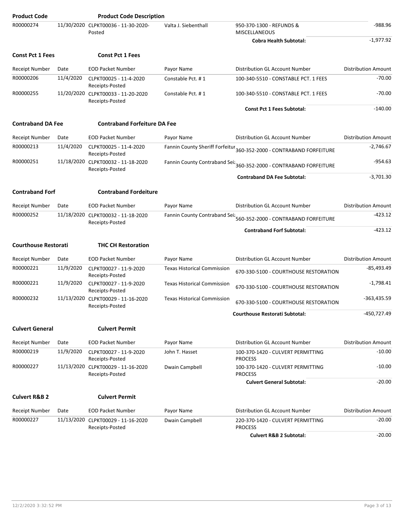| <b>Product Code</b>         |           | <b>Product Code Description</b>                       |                                    |                                                                               |                            |
|-----------------------------|-----------|-------------------------------------------------------|------------------------------------|-------------------------------------------------------------------------------|----------------------------|
| R00000274                   |           | 11/30/2020 CLPKT00036 - 11-30-2020-<br>Posted         | Valta J. Siebenthall               | 950-370-1300 - REFUNDS &<br><b>MISCELLANEOUS</b>                              | $-988.96$                  |
|                             |           |                                                       |                                    | <b>Cobra Health Subtotal:</b>                                                 | $-1,977.92$                |
| <b>Const Pct 1 Fees</b>     |           | <b>Const Pct 1 Fees</b>                               |                                    |                                                                               |                            |
| <b>Receipt Number</b>       | Date      | <b>EOD Packet Number</b>                              | Payor Name                         | Distribution GL Account Number                                                | <b>Distribution Amount</b> |
| R00000206                   | 11/4/2020 | CLPKT00025 - 11-4-2020<br>Receipts-Posted             | Constable Pct. #1                  | 100-340-5510 - CONSTABLE PCT. 1 FEES                                          | $-70.00$                   |
| R00000255                   |           | 11/20/2020 CLPKT00033 - 11-20-2020<br>Receipts-Posted | Constable Pct. #1                  | 100-340-5510 - CONSTABLE PCT. 1 FEES                                          | $-70.00$                   |
|                             |           |                                                       |                                    | <b>Const Pct 1 Fees Subtotal:</b>                                             | $-140.00$                  |
| <b>Contraband DA Fee</b>    |           | <b>Contraband Forfeiture DA Fee</b>                   |                                    |                                                                               |                            |
| <b>Receipt Number</b>       | Date      | <b>EOD Packet Number</b>                              | Payor Name                         | Distribution GL Account Number                                                | <b>Distribution Amount</b> |
| R00000213                   | 11/4/2020 | CLPKT00025 - 11-4-2020<br>Receipts-Posted             |                                    | Fannin County Sheriff Forfeitur 360-352-2000 - CONTRABAND FORFEITURE          | $-2,746.67$                |
| R00000251                   |           | 11/18/2020 CLPKT00032 - 11-18-2020<br>Receipts-Posted | Fannin County Contraband Sei:      | 360-352-2000 - CONTRABAND FORFEITURE                                          | $-954.63$                  |
|                             |           |                                                       |                                    | <b>Contraband DA Fee Subtotal:</b>                                            | $-3.701.30$                |
| <b>Contraband Forf</b>      |           | <b>Contraband Fordeiture</b>                          |                                    |                                                                               |                            |
| <b>Receipt Number</b>       | Date      | <b>EOD Packet Number</b>                              | Payor Name                         | Distribution GL Account Number                                                | <b>Distribution Amount</b> |
| R00000252                   |           | 11/18/2020 CLPKT00032 - 11-18-2020<br>Receipts-Posted |                                    | Fannin County Contraband Seiz <sub>560-352-2000</sub> - CONTRABAND FORFEITURE | $-423.12$                  |
|                             |           |                                                       |                                    | <b>Contraband Forf Subtotal:</b>                                              | $-423.12$                  |
| <b>Courthouse Restorati</b> |           | <b>THC CH Restoration</b>                             |                                    |                                                                               |                            |
| <b>Receipt Number</b>       | Date      | <b>EOD Packet Number</b>                              | Payor Name                         | Distribution GL Account Number                                                | <b>Distribution Amount</b> |
| R00000221                   | 11/9/2020 | CLPKT00027 - 11-9-2020<br>Receipts-Posted             | <b>Texas Historical Commission</b> | 670-330-5100 - COURTHOUSE RESTORATION                                         | $-85,493.49$               |
| R00000221                   | 11/9/2020 | CLPKT00027 - 11-9-2020<br>Receipts-Posted             | <b>Texas Historical Commission</b> | 670-330-5100 - COURTHOUSE RESTORATION                                         | $-1,798.41$                |
| R00000232                   |           | 11/13/2020 CLPKT00029 - 11-16-2020<br>Receipts-Posted | <b>Texas Historical Commission</b> | 670-330-5100 - COURTHOUSE RESTORATION                                         | -363,435.59                |
|                             |           |                                                       |                                    | <b>Courthouse Restorati Subtotal:</b>                                         | -450,727.49                |
| <b>Culvert General</b>      |           | <b>Culvert Permit</b>                                 |                                    |                                                                               |                            |
| <b>Receipt Number</b>       | Date      | <b>EOD Packet Number</b>                              | Payor Name                         | Distribution GL Account Number                                                | <b>Distribution Amount</b> |
| R00000219                   | 11/9/2020 | CLPKT00027 - 11-9-2020<br>Receipts-Posted             | John T. Hasset                     | 100-370-1420 - CULVERT PERMITTING<br><b>PROCESS</b>                           | $-10.00$                   |
| R00000227                   |           | 11/13/2020 CLPKT00029 - 11-16-2020<br>Receipts-Posted | Dwain Campbell                     | 100-370-1420 - CULVERT PERMITTING<br><b>PROCESS</b>                           | $-10.00$                   |
|                             |           |                                                       |                                    | <b>Culvert General Subtotal:</b>                                              | $-20.00$                   |
| <b>Culvert R&amp;B 2</b>    |           | <b>Culvert Permit</b>                                 |                                    |                                                                               |                            |
| <b>Receipt Number</b>       | Date      | <b>EOD Packet Number</b>                              | Payor Name                         | Distribution GL Account Number                                                | <b>Distribution Amount</b> |
| R00000227                   |           | 11/13/2020 CLPKT00029 - 11-16-2020<br>Receipts-Posted | Dwain Campbell                     | 220-370-1420 - CULVERT PERMITTING<br><b>PROCESS</b>                           | $-20.00$                   |
|                             |           |                                                       |                                    | <b>Culvert R&amp;B 2 Subtotal:</b>                                            | $-20.00$                   |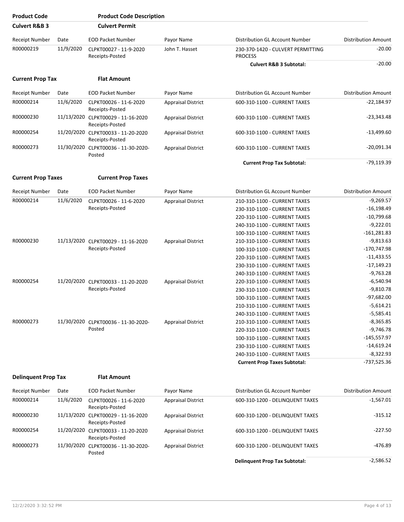| <b>Product Code</b>        |           | <b>Product Code Description</b>                       |                           |                                                     |                            |
|----------------------------|-----------|-------------------------------------------------------|---------------------------|-----------------------------------------------------|----------------------------|
| <b>Culvert R&amp;B 3</b>   |           | <b>Culvert Permit</b>                                 |                           |                                                     |                            |
| <b>Receipt Number</b>      | Date      | <b>EOD Packet Number</b>                              | Payor Name                | Distribution GL Account Number                      | <b>Distribution Amount</b> |
| R00000219                  | 11/9/2020 | CLPKT00027 - 11-9-2020<br>Receipts-Posted             | John T. Hasset            | 230-370-1420 - CULVERT PERMITTING<br><b>PROCESS</b> | $-20.00$                   |
|                            |           |                                                       |                           | <b>Culvert R&amp;B 3 Subtotal:</b>                  | $-20.00$                   |
| <b>Current Prop Tax</b>    |           | <b>Flat Amount</b>                                    |                           |                                                     |                            |
| Receipt Number             | Date      | <b>EOD Packet Number</b>                              | Payor Name                | <b>Distribution GL Account Number</b>               | <b>Distribution Amount</b> |
| R00000214                  | 11/6/2020 | CLPKT00026 - 11-6-2020<br>Receipts-Posted             | <b>Appraisal District</b> | 600-310-1100 - CURRENT TAXES                        | $-22,184.97$               |
| R00000230                  |           | 11/13/2020 CLPKT00029 - 11-16-2020<br>Receipts-Posted | <b>Appraisal District</b> | 600-310-1100 - CURRENT TAXES                        | $-23,343.48$               |
| R00000254                  |           | 11/20/2020 CLPKT00033 - 11-20-2020<br>Receipts-Posted | <b>Appraisal District</b> | 600-310-1100 - CURRENT TAXES                        | $-13,499.60$               |
| R00000273                  |           | 11/30/2020 CLPKT00036 - 11-30-2020-<br>Posted         | <b>Appraisal District</b> | 600-310-1100 - CURRENT TAXES                        | $-20,091.34$               |
|                            |           |                                                       |                           | <b>Current Prop Tax Subtotal:</b>                   | $-79,119.39$               |
| <b>Current Prop Taxes</b>  |           | <b>Current Prop Taxes</b>                             |                           |                                                     |                            |
| Receipt Number             | Date      | <b>EOD Packet Number</b>                              | Payor Name                | Distribution GL Account Number                      | <b>Distribution Amount</b> |
| R00000214                  | 11/6/2020 | CLPKT00026 - 11-6-2020                                | <b>Appraisal District</b> | 210-310-1100 - CURRENT TAXES                        | $-9,269.57$                |
|                            |           | Receipts-Posted                                       |                           | 230-310-1100 - CURRENT TAXES                        | $-16,198.49$               |
|                            |           |                                                       |                           | 220-310-1100 - CURRENT TAXES                        | $-10,799.68$               |
|                            |           |                                                       |                           | 240-310-1100 - CURRENT TAXES                        | $-9,222.01$                |
|                            |           |                                                       |                           | 100-310-1100 - CURRENT TAXES                        | $-161,281.83$              |
| R00000230                  |           | 11/13/2020 CLPKT00029 - 11-16-2020                    | <b>Appraisal District</b> | 210-310-1100 - CURRENT TAXES                        | $-9,813.63$                |
|                            |           | Receipts-Posted                                       |                           | 100-310-1100 - CURRENT TAXES                        | $-170,747.98$              |
|                            |           |                                                       |                           | 220-310-1100 - CURRENT TAXES                        | $-11,433.55$               |
|                            |           |                                                       |                           | 230-310-1100 - CURRENT TAXES                        | $-17,149.23$               |
|                            |           |                                                       |                           | 240-310-1100 - CURRENT TAXES                        | $-9,763.28$                |
| R00000254                  |           | 11/20/2020 CLPKT00033 - 11-20-2020                    | <b>Appraisal District</b> | 220-310-1100 - CURRENT TAXES                        | $-6,540.94$                |
|                            |           | Receipts-Posted                                       |                           | 230-310-1100 - CURRENT TAXES                        | $-9,810.78$                |
|                            |           |                                                       |                           | 100-310-1100 - CURRENT TAXES                        | $-97,682.00$               |
|                            |           |                                                       |                           | 210-310-1100 - CURRENT TAXES                        | $-5,614.21$                |
|                            |           |                                                       |                           | 240-310-1100 - CURRENT TAXES                        | $-5,585.41$                |
| R00000273                  |           | 11/30/2020 CLPKT00036 - 11-30-2020-                   | <b>Appraisal District</b> | 210-310-1100 - CURRENT TAXES                        | $-8,365.85$                |
|                            |           | Posted                                                |                           | 220-310-1100 - CURRENT TAXES                        | $-9,746.78$                |
|                            |           |                                                       |                           | 100-310-1100 - CURRENT TAXES                        | $-145,557.97$              |
|                            |           |                                                       |                           | 230-310-1100 - CURRENT TAXES                        | $-14,619.24$               |
|                            |           |                                                       |                           | 240-310-1100 - CURRENT TAXES                        | $-8,322.93$                |
|                            |           |                                                       |                           | <b>Current Prop Taxes Subtotal:</b>                 | -737,525.36                |
| <b>Delinquent Prop Tax</b> |           | <b>Flat Amount</b>                                    |                           |                                                     |                            |
| Receipt Number             | Date      | <b>EOD Packet Number</b>                              | Payor Name                | Distribution GL Account Number                      | <b>Distribution Amount</b> |
| R00000214                  | 11/6/2020 | CLPKT00026 - 11-6-2020<br>Receipts-Posted             | <b>Appraisal District</b> | 600-310-1200 - DELINQUENT TAXES                     | $-1,567.01$                |
| R00000230                  |           | 11/13/2020 CLPKT00029 - 11-16-2020<br>Receipts-Posted | <b>Appraisal District</b> | 600-310-1200 - DELINQUENT TAXES                     | $-315.12$                  |
| R00000254                  |           | 11/20/2020 CLPKT00033 - 11-20-2020<br>Receipts-Posted | <b>Appraisal District</b> | 600-310-1200 - DELINQUENT TAXES                     | $-227.50$                  |
| R00000273                  |           | 11/30/2020 CLPKT00036 - 11-30-2020-<br>Posted         | <b>Appraisal District</b> | 600-310-1200 - DELINQUENT TAXES                     | $-476.89$                  |
|                            |           |                                                       |                           | <b>Delinquent Prop Tax Subtotal:</b>                | $-2,586.52$                |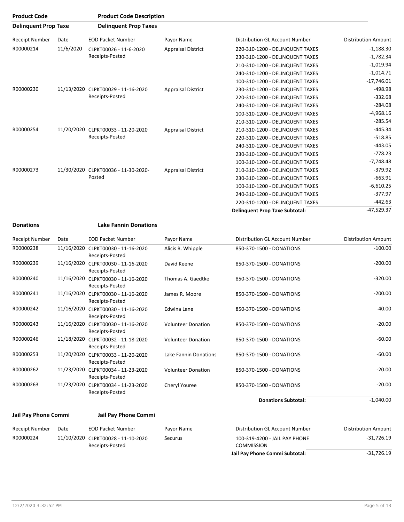| <b>Product Code</b>         |           | <b>Product Code Description</b>                       |                           |                                       |                                 |
|-----------------------------|-----------|-------------------------------------------------------|---------------------------|---------------------------------------|---------------------------------|
| <b>Delinguent Prop Taxe</b> |           | <b>Delinguent Prop Taxes</b>                          |                           |                                       |                                 |
| <b>Receipt Number</b>       | Date      | <b>EOD Packet Number</b>                              | Payor Name                | Distribution GL Account Number        | <b>Distribution Amount</b>      |
| R00000214                   | 11/6/2020 | CLPKT00026 - 11-6-2020                                | <b>Appraisal District</b> | 220-310-1200 - DELINQUENT TAXES       | $-1,188.30$                     |
|                             |           | Receipts-Posted                                       |                           | 230-310-1200 - DELINQUENT TAXES       | $-1,782.34$                     |
|                             |           |                                                       |                           | 210-310-1200 - DELINQUENT TAXES       | $-1,019.94$                     |
|                             |           |                                                       |                           | 240-310-1200 - DELINQUENT TAXES       | $-1,014.71$                     |
|                             |           |                                                       |                           | 100-310-1200 - DELINQUENT TAXES       | $-17,746.01$                    |
| R00000230                   |           | 11/13/2020 CLPKT00029 - 11-16-2020<br>Receipts-Posted | <b>Appraisal District</b> | 230-310-1200 - DELINQUENT TAXES       | $-498.98$                       |
|                             |           |                                                       |                           | 220-310-1200 - DELINQUENT TAXES       | $-332.68$                       |
|                             |           |                                                       |                           | 240-310-1200 - DELINQUENT TAXES       | $-284.08$                       |
|                             |           |                                                       |                           | 100-310-1200 - DELINQUENT TAXES       | $-4,968.16$                     |
|                             |           |                                                       |                           |                                       | 210-310-1200 - DELINQUENT TAXES |
| R00000254                   |           | 11/20/2020 CLPKT00033 - 11-20-2020                    | <b>Appraisal District</b> | 210-310-1200 - DELINQUENT TAXES       | $-445.34$                       |
|                             |           | Receipts-Posted                                       |                           | 220-310-1200 - DELINQUENT TAXES       | $-518.85$                       |
|                             |           |                                                       |                           | 240-310-1200 - DELINQUENT TAXES       | $-443.05$                       |
|                             |           |                                                       |                           | 230-310-1200 - DELINQUENT TAXES       | $-778.23$                       |
|                             |           |                                                       |                           | 100-310-1200 - DELINQUENT TAXES       | $-7,748.48$                     |
| R00000273                   |           | 11/30/2020 CLPKT00036 - 11-30-2020-                   | <b>Appraisal District</b> | 210-310-1200 - DELINQUENT TAXES       | $-379.92$                       |
|                             |           | Posted                                                |                           | 230-310-1200 - DELINQUENT TAXES       | $-663.91$                       |
|                             |           |                                                       |                           | 100-310-1200 - DELINQUENT TAXES       | $-6,610.25$                     |
|                             |           |                                                       |                           | 240-310-1200 - DELINQUENT TAXES       | $-377.97$                       |
|                             |           |                                                       |                           | 220-310-1200 - DELINQUENT TAXES       | $-442.63$                       |
|                             |           |                                                       |                           | <b>Delinquent Prop Taxe Subtotal:</b> | $-47,529.37$                    |

**Donations Lake Fannin Donations**

| Receipt Number | Date       | <b>EOD Packet Number</b>                              | Payor Name                | Distribution GL Account Number | <b>Distribution Amount</b> |
|----------------|------------|-------------------------------------------------------|---------------------------|--------------------------------|----------------------------|
| R00000238      |            | 11/16/2020 CLPKT00030 - 11-16-2020<br>Receipts-Posted | Alicis R. Whipple         | 850-370-1500 - DONATIONS       | $-100.00$                  |
| R00000239      | 11/16/2020 | CLPKT00030 - 11-16-2020<br>Receipts-Posted            | David Keene               | 850-370-1500 - DONATIONS       | $-200.00$                  |
| R00000240      |            | 11/16/2020 CLPKT00030 - 11-16-2020<br>Receipts-Posted | Thomas A. Gaedtke         | 850-370-1500 - DONATIONS       | $-320.00$                  |
| R00000241      | 11/16/2020 | CLPKT00030 - 11-16-2020<br>Receipts-Posted            | James R. Moore            | 850-370-1500 - DONATIONS       | $-200.00$                  |
| R00000242      | 11/16/2020 | CLPKT00030 - 11-16-2020<br>Receipts-Posted            | Edwina Lane               | 850-370-1500 - DONATIONS       | $-40.00$                   |
| R00000243      | 11/16/2020 | CLPKT00030 - 11-16-2020<br>Receipts-Posted            | <b>Volunteer Donation</b> | 850-370-1500 - DONATIONS       | $-20.00$                   |
| R00000246      | 11/18/2020 | CLPKT00032 - 11-18-2020<br>Receipts-Posted            | <b>Volunteer Donation</b> | 850-370-1500 - DONATIONS       | $-60.00$                   |
| R00000253      | 11/20/2020 | CLPKT00033 - 11-20-2020<br>Receipts-Posted            | Lake Fannin Donations     | 850-370-1500 - DONATIONS       | $-60.00$                   |
| R00000262      | 11/23/2020 | CLPKT00034 - 11-23-2020<br>Receipts-Posted            | <b>Volunteer Donation</b> | 850-370-1500 - DONATIONS       | $-20.00$                   |
| R00000263      | 11/23/2020 | CLPKT00034 - 11-23-2020<br>Receipts-Posted            | Cheryl Youree             | 850-370-1500 - DONATIONS       | $-20.00$                   |
|                |            |                                                       |                           | <b>Donations Subtotal:</b>     | $-1,040.00$                |

### **Jail Pay Phone Commi Jail Pay Phone Commi**

| Receipt Number | Date | EOD Packet Number                                     | Pavor Name | Distribution GL Account Number                     | Distribution Amount |
|----------------|------|-------------------------------------------------------|------------|----------------------------------------------------|---------------------|
| R00000224      |      | 11/10/2020 CLPKT00028 - 11-10-2020<br>Receipts-Posted | Securus    | 100-319-4200 - JAIL PAY PHONE<br><b>COMMISSION</b> | -31,726.19          |
|                |      |                                                       |            | Jail Pay Phone Commi Subtotal:                     | -31,726.19          |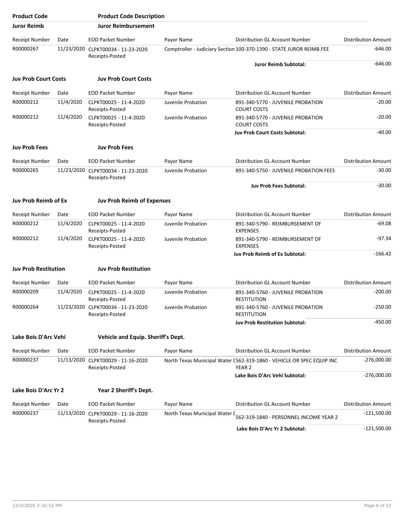| <b>Product Code</b>         |           | <b>Product Code Description</b>                       |                               |                                                                                            |                            |
|-----------------------------|-----------|-------------------------------------------------------|-------------------------------|--------------------------------------------------------------------------------------------|----------------------------|
| <b>Juror Reimb</b>          |           | <b>Juror Reimbursement</b>                            |                               |                                                                                            |                            |
| Receipt Number              | Date      | <b>EOD Packet Number</b>                              | Payor Name                    | Distribution GL Account Number                                                             | <b>Distribution Amount</b> |
| R00000267                   |           | 11/23/2020 CLPKT00034 - 11-23-2020<br>Receipts-Posted |                               | Comptroller - Judiciary Section 100-370-1390 - STATE JUROR REIMB.FEE                       | $-646.00$                  |
|                             |           |                                                       |                               | <b>Juror Reimb Subtotal:</b>                                                               | $-646.00$                  |
| <b>Juv Prob Court Costs</b> |           | <b>Juv Prob Court Costs</b>                           |                               |                                                                                            |                            |
| Receipt Number              | Date      | <b>EOD Packet Number</b>                              | Payor Name                    | Distribution GL Account Number                                                             | <b>Distribution Amount</b> |
| R00000212                   | 11/4/2020 | CLPKT00025 - 11-4-2020<br>Receipts-Posted             | Juvenile Probation            | 891-340-5770 - JUVENILE PROBATION<br><b>COURT COSTS</b>                                    | $-20.00$                   |
| R00000212                   | 11/4/2020 | CLPKT00025 - 11-4-2020<br>Receipts-Posted             | Juvenile Probation            | 891-340-5770 - JUVENILE PROBATION<br><b>COURT COSTS</b>                                    | $-20.00$                   |
|                             |           |                                                       |                               | <b>Juv Prob Court Costs Subtotal:</b>                                                      | $-40.00$                   |
| <b>Juv Prob Fees</b>        |           | <b>Juv Prob Fees</b>                                  |                               |                                                                                            |                            |
| Receipt Number              | Date      | <b>EOD Packet Number</b>                              | Payor Name                    | Distribution GL Account Number                                                             | <b>Distribution Amount</b> |
| R00000265                   |           | 11/23/2020 CLPKT00034 - 11-23-2020<br>Receipts-Posted | Juvenile Probation            | 891-340-5750 - JUVENILE PROBATION FEES                                                     | $-30.00$                   |
|                             |           |                                                       |                               | <b>Juv Prob Fees Subtotal:</b>                                                             | $-30.00$                   |
| <b>Juv Prob Reimb of Ex</b> |           | <b>Juv Prob Reimb of Expenses</b>                     |                               |                                                                                            |                            |
| Receipt Number              | Date      | <b>EOD Packet Number</b>                              | Payor Name                    | Distribution GL Account Number                                                             | <b>Distribution Amount</b> |
| R00000212                   | 11/4/2020 | CLPKT00025 - 11-4-2020<br>Receipts-Posted             | Juvenile Probation            | 891-340-5790 - REIMBURSEMENT OF<br><b>EXPENSES</b>                                         | $-69.08$                   |
| R00000212                   | 11/4/2020 | CLPKT00025 - 11-4-2020<br>Receipts-Posted             | Juvenile Probation            | 891-340-5790 - REIMBURSEMENT OF<br><b>EXPENSES</b>                                         | $-97.34$                   |
|                             |           |                                                       |                               | Juv Prob Reimb of Ex Subtotal:                                                             | $-166.42$                  |
| <b>Juv Prob Restitution</b> |           | <b>Juv Prob Restitution</b>                           |                               |                                                                                            |                            |
| Receipt Number              | Date      | <b>EOD Packet Number</b>                              | Payor Name                    | Distribution GL Account Number                                                             | <b>Distribution Amount</b> |
| R00000209                   | 11/4/2020 | CLPKT00025 - 11-4-2020<br>Receipts-Posted             | Juvenile Probation            | 891-340-5760 - JUVENILE PROBATION<br><b>RESTITUTION</b>                                    | $-200.00$                  |
| R00000264                   |           | 11/23/2020 CLPKT00034 - 11-23-2020<br>Receipts-Posted | Juvenile Probation            | 891-340-5760 - JUVENILE PROBATION<br><b>RESTITUTION</b>                                    | $-250.00$                  |
|                             |           |                                                       |                               | <b>Juv Prob Restitution Subtotal:</b>                                                      | $-450.00$                  |
| Lake Bois D'Arc Vehi        |           | Vehicle and Equip. Sheriff's Dept.                    |                               |                                                                                            |                            |
| Receipt Number              | Date      | <b>EOD Packet Number</b>                              | Payor Name                    | Distribution GL Account Number                                                             | <b>Distribution Amount</b> |
| R00000237                   |           | 11/13/2020 CLPKT00029 - 11-16-2020<br>Receipts-Posted |                               | North Texas Municipal Water [562-319-1860 - VEHICLE OR SPEC EQUIP INC<br>YEAR <sub>2</sub> | $-276,000.00$              |
|                             |           |                                                       |                               | Lake Bois D'Arc Vehi Subtotal:                                                             | $-276,000.00$              |
| Lake Bois D'Arc Yr 2        |           | Year 2 Sheriff's Dept.                                |                               |                                                                                            |                            |
| Receipt Number              | Date      | <b>EOD Packet Number</b>                              | Payor Name                    | Distribution GL Account Number                                                             | <b>Distribution Amount</b> |
| R00000237                   |           | 11/13/2020 CLPKT00029 - 11-16-2020<br>Receipts-Posted | North Texas Municipal Water I | 562-319-1840 - PERSONNEL INCOME YEAR 2                                                     | $-121,500.00$              |
|                             |           |                                                       |                               | Lake Bois D'Arc Yr 2 Subtotal:                                                             | $-121,500.00$              |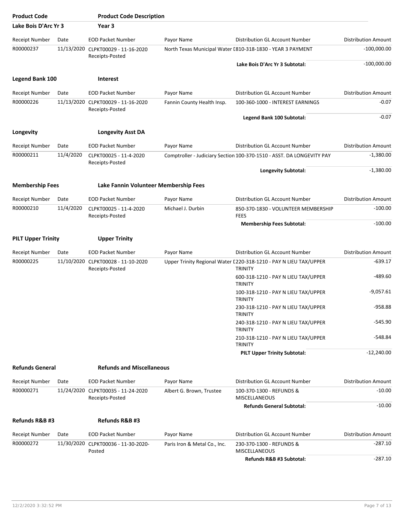| <b>Product Code</b>       |           | <b>Product Code Description</b>                       |                              |                                                                                     |                            |
|---------------------------|-----------|-------------------------------------------------------|------------------------------|-------------------------------------------------------------------------------------|----------------------------|
| Lake Bois D'Arc Yr 3      |           | Year 3                                                |                              |                                                                                     |                            |
| <b>Receipt Number</b>     | Date      | <b>EOD Packet Number</b>                              | Payor Name                   | Distribution GL Account Number                                                      | <b>Distribution Amount</b> |
| R00000237                 |           | 11/13/2020 CLPKT00029 - 11-16-2020<br>Receipts-Posted |                              | North Texas Municipal Water [810-318-1830 - YEAR 3 PAYMENT                          | $-100,000.00$              |
|                           |           |                                                       |                              | Lake Bois D'Arc Yr 3 Subtotal:                                                      | $-100,000.00$              |
| <b>Legend Bank 100</b>    |           | <b>Interest</b>                                       |                              |                                                                                     |                            |
| <b>Receipt Number</b>     | Date      | <b>EOD Packet Number</b>                              | Payor Name                   | Distribution GL Account Number                                                      | <b>Distribution Amount</b> |
| R00000226                 |           | 11/13/2020 CLPKT00029 - 11-16-2020<br>Receipts-Posted | Fannin County Health Insp.   | 100-360-1000 - INTEREST EARNINGS                                                    | $-0.07$                    |
|                           |           |                                                       |                              | Legend Bank 100 Subtotal:                                                           | $-0.07$                    |
| Longevity                 |           | <b>Longevity Asst DA</b>                              |                              |                                                                                     |                            |
| <b>Receipt Number</b>     | Date      | <b>EOD Packet Number</b>                              | Payor Name                   | Distribution GL Account Number                                                      | <b>Distribution Amount</b> |
| R00000211                 | 11/4/2020 | CLPKT00025 - 11-4-2020                                |                              | Comptroller - Judiciary Section 100-370-1510 - ASST. DA LONGEVITY PAY               | $-1,380.00$                |
|                           |           | Receipts-Posted                                       |                              | <b>Longevity Subtotal:</b>                                                          | $-1,380.00$                |
| <b>Membership Fees</b>    |           | Lake Fannin Volunteer Membership Fees                 |                              |                                                                                     |                            |
| Receipt Number            | Date      | <b>EOD Packet Number</b>                              | Payor Name                   | Distribution GL Account Number                                                      | <b>Distribution Amount</b> |
| R00000210                 | 11/4/2020 | CLPKT00025 - 11-4-2020<br>Receipts-Posted             | Michael J. Durbin            | 850-370-1830 - VOLUNTEER MEMBERSHIP<br><b>FEES</b>                                  | $-100.00$                  |
|                           |           |                                                       |                              | <b>Membership Fees Subtotal:</b>                                                    | $-100.00$                  |
| <b>PILT Upper Trinity</b> |           | <b>Upper Trinity</b>                                  |                              |                                                                                     |                            |
| Receipt Number            | Date      | <b>EOD Packet Number</b>                              | Payor Name                   | Distribution GL Account Number                                                      | <b>Distribution Amount</b> |
| R00000225                 |           | 11/10/2020 CLPKT00028 - 11-10-2020<br>Receipts-Posted |                              | Upper Trinity Regional Water [220-318-1210 - PAY N LIEU TAX/UPPER<br><b>TRINITY</b> | -639.17                    |
|                           |           |                                                       |                              | 600-318-1210 - PAY N LIEU TAX/UPPER<br><b>TRINITY</b>                               | -489.60                    |
|                           |           |                                                       |                              | 100-318-1210 - PAY N LIEU TAX/UPPER<br><b>TRINITY</b>                               | $-9,057.61$                |
|                           |           |                                                       |                              | 230-318-1210 - PAY N LIEU TAX/UPPER<br><b>TRINITY</b>                               | $-958.88$                  |
|                           |           |                                                       |                              | 240-318-1210 - PAY N LIEU TAX/UPPER<br><b>TRINITY</b>                               | -545.90                    |
|                           |           |                                                       |                              | 210-318-1210 - PAY N LIEU TAX/UPPER<br><b>TRINITY</b>                               | -548.84                    |
|                           |           |                                                       |                              | <b>PILT Upper Trinity Subtotal:</b>                                                 | $-12,240.00$               |
| <b>Refunds General</b>    |           | <b>Refunds and Miscellaneous</b>                      |                              |                                                                                     |                            |
| Receipt Number            | Date      | <b>EOD Packet Number</b>                              | Payor Name                   | Distribution GL Account Number                                                      | <b>Distribution Amount</b> |
| R00000271                 |           | 11/24/2020 CLPKT00035 - 11-24-2020<br>Receipts-Posted | Albert G. Brown, Trustee     | 100-370-1300 - REFUNDS &<br><b>MISCELLANEOUS</b>                                    | $-10.00$                   |
|                           |           |                                                       |                              | <b>Refunds General Subtotal:</b>                                                    | $-10.00$                   |
| Refunds R&B #3            |           | Refunds R&B #3                                        |                              |                                                                                     |                            |
| Receipt Number            | Date      | <b>EOD Packet Number</b>                              | Payor Name                   | Distribution GL Account Number                                                      | <b>Distribution Amount</b> |
| R00000272                 |           | 11/30/2020 CLPKT00036 - 11-30-2020-<br>Posted         | Paris Iron & Metal Co., Inc. | 230-370-1300 - REFUNDS &<br><b>MISCELLANEOUS</b>                                    | $-287.10$                  |
|                           |           |                                                       |                              | Refunds R&B #3 Subtotal:                                                            | $-287.10$                  |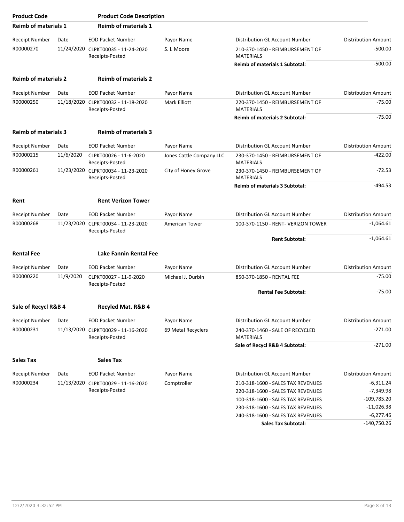| <b>Product Code</b>         |           | <b>Product Code Description</b>                       |                          |                                                     |                            |
|-----------------------------|-----------|-------------------------------------------------------|--------------------------|-----------------------------------------------------|----------------------------|
| <b>Reimb of materials 1</b> |           | <b>Reimb of materials 1</b>                           |                          |                                                     |                            |
| <b>Receipt Number</b>       | Date      | <b>EOD Packet Number</b>                              | Payor Name               | Distribution GL Account Number                      | <b>Distribution Amount</b> |
| R00000270                   |           | 11/24/2020 CLPKT00035 - 11-24-2020<br>Receipts-Posted | S. I. Moore              | 210-370-1450 - REIMBURSEMENT OF<br><b>MATERIALS</b> | $-500.00$                  |
|                             |           |                                                       |                          | <b>Reimb of materials 1 Subtotal:</b>               | $-500.00$                  |
| <b>Reimb of materials 2</b> |           | <b>Reimb of materials 2</b>                           |                          |                                                     |                            |
| <b>Receipt Number</b>       | Date      | <b>EOD Packet Number</b>                              | Payor Name               | Distribution GL Account Number                      | <b>Distribution Amount</b> |
| R00000250                   |           | 11/18/2020 CLPKT00032 - 11-18-2020<br>Receipts-Posted | Mark Elliott             | 220-370-1450 - REIMBURSEMENT OF<br><b>MATERIALS</b> | $-75.00$                   |
|                             |           |                                                       |                          | <b>Reimb of materials 2 Subtotal:</b>               | $-75.00$                   |
| <b>Reimb of materials 3</b> |           | <b>Reimb of materials 3</b>                           |                          |                                                     |                            |
| <b>Receipt Number</b>       | Date      | <b>EOD Packet Number</b>                              | Payor Name               | Distribution GL Account Number                      | <b>Distribution Amount</b> |
| R00000215                   | 11/6/2020 | CLPKT00026 - 11-6-2020<br>Receipts-Posted             | Jones Cattle Company LLC | 230-370-1450 - REIMBURSEMENT OF<br><b>MATERIALS</b> | $-422.00$                  |
| R00000261                   |           | 11/23/2020 CLPKT00034 - 11-23-2020<br>Receipts-Posted | City of Honey Grove      | 230-370-1450 - REIMBURSEMENT OF<br><b>MATERIALS</b> | $-72.53$                   |
|                             |           |                                                       |                          | Reimb of materials 3 Subtotal:                      | $-494.53$                  |
| Rent                        |           | <b>Rent Verizon Tower</b>                             |                          |                                                     |                            |
| <b>Receipt Number</b>       | Date      | <b>EOD Packet Number</b>                              | Payor Name               | Distribution GL Account Number                      | <b>Distribution Amount</b> |
| R00000268                   |           | 11/23/2020 CLPKT00034 - 11-23-2020<br>Receipts-Posted | American Tower           | 100-370-1150 - RENT- VERIZON TOWER                  | $-1,064.61$                |
|                             |           |                                                       |                          | <b>Rent Subtotal:</b>                               | $-1,064.61$                |
| <b>Rental Fee</b>           |           | Lake Fannin Rental Fee                                |                          |                                                     |                            |
| <b>Receipt Number</b>       | Date      | <b>EOD Packet Number</b>                              | Payor Name               | Distribution GL Account Number                      | <b>Distribution Amount</b> |
| R00000220                   | 11/9/2020 | CLPKT00027 - 11-9-2020<br>Receipts-Posted             | Michael J. Durbin        | 850-370-1850 - RENTAL FEE                           | $-75.00$                   |
|                             |           |                                                       |                          | <b>Rental Fee Subtotal:</b>                         | $-75.00$                   |
| Sale of Recycl R&B 4        |           | Recyled Mat. R&B 4                                    |                          |                                                     |                            |
| Receipt Number              | Date      | <b>EOD Packet Number</b>                              | Payor Name               | Distribution GL Account Number                      | <b>Distribution Amount</b> |
| R00000231                   |           | 11/13/2020 CLPKT00029 - 11-16-2020<br>Receipts-Posted | 69 Metal Recyclers       | 240-370-1460 - SALE OF RECYCLED<br><b>MATERIALS</b> | $-271.00$                  |
|                             |           |                                                       |                          | Sale of Recycl R&B 4 Subtotal:                      | $-271.00$                  |
| <b>Sales Tax</b>            |           | <b>Sales Tax</b>                                      |                          |                                                     |                            |
| Receipt Number              | Date      | <b>EOD Packet Number</b>                              | Payor Name               | Distribution GL Account Number                      | <b>Distribution Amount</b> |
| R00000234                   |           | 11/13/2020 CLPKT00029 - 11-16-2020                    | Comptroller              | 210-318-1600 - SALES TAX REVENUES                   | $-6,311.24$                |
|                             |           | Receipts-Posted                                       |                          | 220-318-1600 - SALES TAX REVENUES                   | $-7,349.98$                |
|                             |           |                                                       |                          | 100-318-1600 - SALES TAX REVENUES                   | $-109,785.20$              |
|                             |           |                                                       |                          | 230-318-1600 - SALES TAX REVENUES                   | $-11,026.38$               |
|                             |           |                                                       |                          | 240-318-1600 - SALES TAX REVENUES                   | $-6,277.46$                |
|                             |           |                                                       |                          | <b>Sales Tax Subtotal:</b>                          | $-140,750.26$              |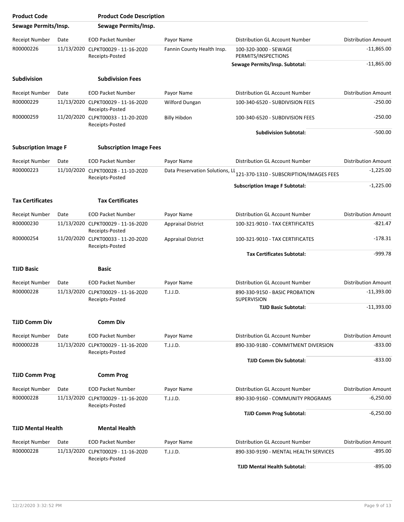| <b>Product Code</b>         |            | <b>Product Code Description</b>                       |                                 |                                                      |                            |
|-----------------------------|------------|-------------------------------------------------------|---------------------------------|------------------------------------------------------|----------------------------|
| Sewage Permits/Insp.        |            | Sewage Permits/Insp.                                  |                                 |                                                      |                            |
| Receipt Number              | Date       | <b>EOD Packet Number</b>                              | Payor Name                      | Distribution GL Account Number                       | <b>Distribution Amount</b> |
| R00000226                   |            | 11/13/2020 CLPKT00029 - 11-16-2020<br>Receipts-Posted | Fannin County Health Insp.      | 100-320-3000 - SEWAGE<br>PERMITS/INSPECTIONS         | $-11,865.00$               |
|                             |            |                                                       |                                 | Sewage Permits/Insp. Subtotal:                       | $-11,865.00$               |
| <b>Subdivision</b>          |            | <b>Subdivision Fees</b>                               |                                 |                                                      |                            |
| <b>Receipt Number</b>       | Date       | <b>EOD Packet Number</b>                              | Payor Name                      | Distribution GL Account Number                       | <b>Distribution Amount</b> |
| R00000229                   |            | 11/13/2020 CLPKT00029 - 11-16-2020<br>Receipts-Posted | Wilford Dungan                  | 100-340-6520 - SUBDIVISION FEES                      | $-250.00$                  |
| R00000259                   |            | 11/20/2020 CLPKT00033 - 11-20-2020<br>Receipts-Posted | <b>Billy Hibdon</b>             | 100-340-6520 - SUBDIVISION FEES                      | $-250.00$                  |
|                             |            |                                                       |                                 | <b>Subdivision Subtotal:</b>                         | $-500.00$                  |
| <b>Subscription Image F</b> |            | <b>Subscription Image Fees</b>                        |                                 |                                                      |                            |
| <b>Receipt Number</b>       | Date       | <b>EOD Packet Number</b>                              | Payor Name                      | Distribution GL Account Number                       | <b>Distribution Amount</b> |
| R00000223                   | 11/10/2020 | CLPKT00028 - 11-10-2020<br>Receipts-Posted            | Data Preservation Solutions, LL | 121-370-1310 - SUBSCRIPTION/IMAGES FEES              | $-1,225.00$                |
|                             |            |                                                       |                                 | <b>Subscription Image F Subtotal:</b>                | $-1,225.00$                |
| <b>Tax Certificates</b>     |            | <b>Tax Certificates</b>                               |                                 |                                                      |                            |
| <b>Receipt Number</b>       | Date       | <b>EOD Packet Number</b>                              | Payor Name                      | Distribution GL Account Number                       | <b>Distribution Amount</b> |
| R00000230                   |            | 11/13/2020 CLPKT00029 - 11-16-2020<br>Receipts-Posted | <b>Appraisal District</b>       | 100-321-9010 - TAX CERTIFICATES                      | $-821.47$                  |
| R00000254                   |            | 11/20/2020 CLPKT00033 - 11-20-2020<br>Receipts-Posted | <b>Appraisal District</b>       | 100-321-9010 - TAX CERTIFICATES                      | $-178.31$                  |
|                             |            |                                                       |                                 | <b>Tax Certificates Subtotal:</b>                    | $-999.78$                  |
| <b>TJJD Basic</b>           |            | Basic                                                 |                                 |                                                      |                            |
| <b>Receipt Number</b>       | Date       | <b>EOD Packet Number</b>                              | Payor Name                      | Distribution GL Account Number                       | <b>Distribution Amount</b> |
| R00000228                   |            | 11/13/2020 CLPKT00029 - 11-16-2020<br>Receipts-Posted | T.J.J.D.                        | 890-330-9150 - BASIC PROBATION<br><b>SUPERVISION</b> | $-11,393.00$               |
|                             |            |                                                       |                                 | <b>TJJD Basic Subtotal:</b>                          | $-11,393.00$               |
| <b>TJJD Comm Div</b>        |            | Comm Div                                              |                                 |                                                      |                            |
| Receipt Number              | Date       | <b>EOD Packet Number</b>                              | Payor Name                      | <b>Distribution GL Account Number</b>                | <b>Distribution Amount</b> |
| R00000228                   |            | 11/13/2020 CLPKT00029 - 11-16-2020<br>Receipts-Posted | T.J.J.D.                        | 890-330-9180 - COMMITMENT DIVERSION                  | $-833.00$                  |
|                             |            |                                                       |                                 | <b>TJJD Comm Div Subtotal:</b>                       | $-833.00$                  |
| <b>TJJD Comm Prog</b>       |            | <b>Comm Prog</b>                                      |                                 |                                                      |                            |
| Receipt Number              | Date       | <b>EOD Packet Number</b>                              | Payor Name                      | Distribution GL Account Number                       | <b>Distribution Amount</b> |
| R00000228                   |            | 11/13/2020 CLPKT00029 - 11-16-2020<br>Receipts-Posted | T.J.J.D.                        | 890-330-9160 - COMMUNITY PROGRAMS                    | $-6,250.00$                |
|                             |            |                                                       |                                 | <b>TJJD Comm Prog Subtotal:</b>                      | $-6,250.00$                |
| <b>TJJD Mental Health</b>   |            | <b>Mental Health</b>                                  |                                 |                                                      |                            |
| Receipt Number              | Date       | <b>EOD Packet Number</b>                              | Payor Name                      | Distribution GL Account Number                       | <b>Distribution Amount</b> |
| R00000228                   |            | 11/13/2020 CLPKT00029 - 11-16-2020<br>Receipts-Posted | T.J.J.D.                        | 890-330-9190 - MENTAL HEALTH SERVICES                | $-895.00$                  |
|                             |            |                                                       |                                 | <b>TJJD Mental Health Subtotal:</b>                  | $-895.00$                  |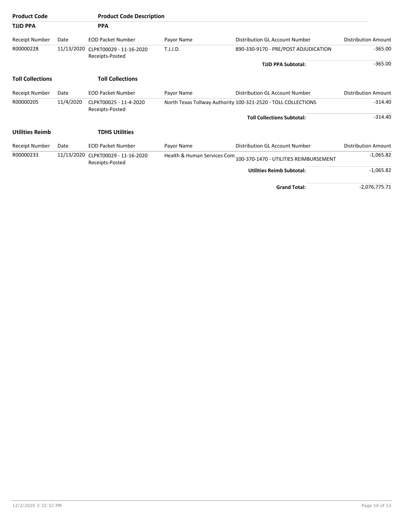| <b>Product Code</b>     |            | <b>Product Code Description</b>                       |            |                                                                    |                            |
|-------------------------|------------|-------------------------------------------------------|------------|--------------------------------------------------------------------|----------------------------|
| <b>TJJD PPA</b>         |            | <b>PPA</b>                                            |            |                                                                    |                            |
| Receipt Number          | Date       | <b>EOD Packet Number</b>                              | Payor Name | Distribution GL Account Number                                     | <b>Distribution Amount</b> |
| R00000228               |            | 11/13/2020 CLPKT00029 - 11-16-2020<br>Receipts-Posted | T.J.J.D.   | 890-330-9170 - PRE/POST ADJUDICATION                               | $-365.00$                  |
|                         |            |                                                       |            | <b>TJJD PPA Subtotal:</b>                                          | $-365.00$                  |
| <b>Toll Collections</b> |            | <b>Toll Collections</b>                               |            |                                                                    |                            |
| Receipt Number          | Date       | <b>EOD Packet Number</b>                              | Payor Name | Distribution GL Account Number                                     | <b>Distribution Amount</b> |
| R00000205               | 11/4/2020  | CLPKT00025 - 11-4-2020<br>Receipts-Posted             |            | North Texas Tollway Authority 100-321-2520 - TOLL COLLECTIONS      | $-314.40$                  |
|                         |            |                                                       |            | <b>Toll Collections Subtotal:</b>                                  | $-314.40$                  |
| <b>Utilities Reimb</b>  |            | <b>TDHS Utilities</b>                                 |            |                                                                    |                            |
| Receipt Number          | Date       | <b>EOD Packet Number</b>                              | Payor Name | Distribution GL Account Number                                     | <b>Distribution Amount</b> |
| R00000233               | 11/13/2020 | CLPKT00029 - 11-16-2020<br>Receipts-Posted            |            | Health & Human Services Com 100-370-1470 - UTILITIES REIMBURSEMENT | $-1,065.82$                |
|                         |            |                                                       |            | <b>Utilities Reimb Subtotal:</b>                                   | $-1,065.82$                |
|                         |            |                                                       |            | <b>Grand Total:</b>                                                | $-2,076,775.71$            |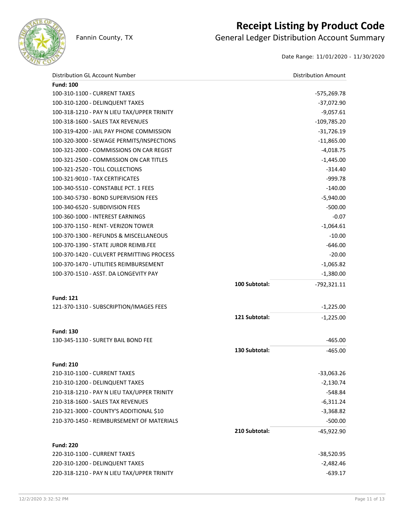

## **Receipt Listing by Product Code**

Fannin County, TX **General Ledger Distribution Account Summary** 

Date Range: 11/01/2020 - 11/30/2020

| Distribution GL Account Number              |               | <b>Distribution Amount</b> |
|---------------------------------------------|---------------|----------------------------|
| <b>Fund: 100</b>                            |               |                            |
| 100-310-1100 - CURRENT TAXES                |               | $-575,269.78$              |
| 100-310-1200 - DELINQUENT TAXES             |               | $-37,072.90$               |
| 100-318-1210 - PAY N LIEU TAX/UPPER TRINITY |               | $-9,057.61$                |
| 100-318-1600 - SALES TAX REVENUES           |               | $-109,785.20$              |
| 100-319-4200 - JAIL PAY PHONE COMMISSION    |               | $-31,726.19$               |
| 100-320-3000 - SEWAGE PERMITS/INSPECTIONS   |               | $-11,865.00$               |
| 100-321-2000 - COMMISSIONS ON CAR REGIST    |               | $-4,018.75$                |
| 100-321-2500 - COMMISSION ON CAR TITLES     |               | $-1,445.00$                |
| 100-321-2520 - TOLL COLLECTIONS             |               | $-314.40$                  |
| 100-321-9010 - TAX CERTIFICATES             |               | $-999.78$                  |
| 100-340-5510 - CONSTABLE PCT. 1 FEES        |               | $-140.00$                  |
| 100-340-5730 - BOND SUPERVISION FEES        |               | $-5,940.00$                |
| 100-340-6520 - SUBDIVISION FEES             |               | $-500.00$                  |
| 100-360-1000 - INTEREST EARNINGS            |               | $-0.07$                    |
| 100-370-1150 - RENT- VERIZON TOWER          |               | $-1,064.61$                |
| 100-370-1300 - REFUNDS & MISCELLANEOUS      |               | $-10.00$                   |
| 100-370-1390 - STATE JUROR REIMB.FEE        |               | $-646.00$                  |
| 100-370-1420 - CULVERT PERMITTING PROCESS   |               | $-20.00$                   |
| 100-370-1470 - UTILITIES REIMBURSEMENT      |               | $-1,065.82$                |
| 100-370-1510 - ASST. DA LONGEVITY PAY       |               | $-1,380.00$                |
|                                             | 100 Subtotal: | $-792,321.11$              |
| <b>Fund: 121</b>                            |               |                            |
| 121-370-1310 - SUBSCRIPTION/IMAGES FEES     |               | $-1,225.00$                |
|                                             | 121 Subtotal: | $-1,225.00$                |
|                                             |               |                            |
| <b>Fund: 130</b>                            |               |                            |
| 130-345-1130 - SURETY BAIL BOND FEE         |               | $-465.00$                  |
|                                             | 130 Subtotal: | $-465.00$                  |
| <b>Fund: 210</b>                            |               |                            |
| 210-310-1100 - CURRENT TAXES                |               | $-33,063.26$               |
| 210-310-1200 - DELINQUENT TAXES             |               | $-2,130.74$                |
| 210-318-1210 - PAY N LIEU TAX/UPPER TRINITY |               | $-548.84$                  |
| 210-318-1600 - SALES TAX REVENUES           |               | $-6,311.24$                |
| 210-321-3000 - COUNTY'S ADDITIONAL \$10     |               | $-3,368.82$                |
| 210-370-1450 - REIMBURSEMENT OF MATERIALS   |               | $-500.00$                  |
|                                             | 210 Subtotal: | $-45,922.90$               |
| <b>Fund: 220</b>                            |               |                            |
| 220-310-1100 - CURRENT TAXES                |               | -38,520.95                 |
| 220-310-1200 - DELINQUENT TAXES             |               | $-2,482.46$                |
| 220-318-1210 - PAY N LIEU TAX/UPPER TRINITY |               | $-639.17$                  |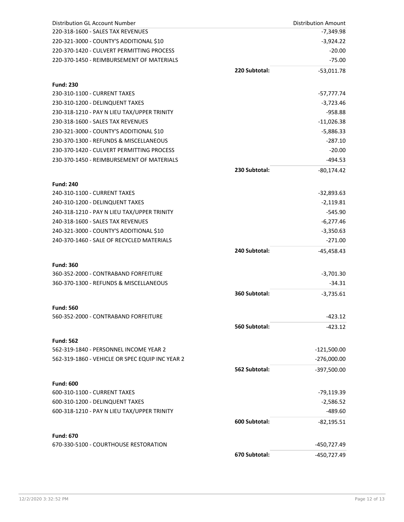| <b>Distribution GL Account Number</b>           |               | <b>Distribution Amount</b> |
|-------------------------------------------------|---------------|----------------------------|
| 220-318-1600 - SALES TAX REVENUES               |               | $-7,349.98$                |
| 220-321-3000 - COUNTY'S ADDITIONAL \$10         |               | $-3,924.22$                |
| 220-370-1420 - CULVERT PERMITTING PROCESS       |               | $-20.00$                   |
| 220-370-1450 - REIMBURSEMENT OF MATERIALS       |               | $-75.00$                   |
|                                                 | 220 Subtotal: | $-53,011.78$               |
| <b>Fund: 230</b>                                |               |                            |
| 230-310-1100 - CURRENT TAXES                    |               | -57,777.74                 |
| 230-310-1200 - DELINQUENT TAXES                 |               | $-3,723.46$                |
| 230-318-1210 - PAY N LIEU TAX/UPPER TRINITY     |               | $-958.88$                  |
| 230-318-1600 - SALES TAX REVENUES               |               | $-11,026.38$               |
| 230-321-3000 - COUNTY'S ADDITIONAL \$10         |               | $-5,886.33$                |
| 230-370-1300 - REFUNDS & MISCELLANEOUS          |               | $-287.10$                  |
| 230-370-1420 - CULVERT PERMITTING PROCESS       |               | $-20.00$                   |
| 230-370-1450 - REIMBURSEMENT OF MATERIALS       |               | $-494.53$                  |
|                                                 | 230 Subtotal: | $-80,174.42$               |
| <b>Fund: 240</b>                                |               |                            |
| 240-310-1100 - CURRENT TAXES                    |               | -32,893.63                 |
| 240-310-1200 - DELINQUENT TAXES                 |               | $-2,119.81$                |
| 240-318-1210 - PAY N LIEU TAX/UPPER TRINITY     |               | $-545.90$                  |
| 240-318-1600 - SALES TAX REVENUES               |               | -6,277.46                  |
| 240-321-3000 - COUNTY'S ADDITIONAL \$10         |               | $-3,350.63$                |
| 240-370-1460 - SALE OF RECYCLED MATERIALS       |               | $-271.00$                  |
|                                                 | 240 Subtotal: | $-45,458.43$               |
| <b>Fund: 360</b>                                |               |                            |
| 360-352-2000 - CONTRABAND FORFEITURE            |               | $-3,701.30$                |
| 360-370-1300 - REFUNDS & MISCELLANEOUS          |               | $-34.31$                   |
|                                                 | 360 Subtotal: | $-3,735.61$                |
| <b>Fund: 560</b>                                |               |                            |
| 560-352-2000 - CONTRABAND FORFEITURE            |               | $-423.12$                  |
|                                                 | 560 Subtotal: | $-423.12$                  |
| <b>Fund: 562</b>                                |               |                            |
| 562-319-1840 - PERSONNEL INCOME YEAR 2          |               | $-121,500.00$              |
| 562-319-1860 - VEHICLE OR SPEC EQUIP INC YEAR 2 |               | $-276,000.00$              |
|                                                 | 562 Subtotal: | $-397,500.00$              |
| <b>Fund: 600</b>                                |               |                            |
| 600-310-1100 - CURRENT TAXES                    |               | -79,119.39                 |
| 600-310-1200 - DELINQUENT TAXES                 |               | $-2,586.52$                |
| 600-318-1210 - PAY N LIEU TAX/UPPER TRINITY     |               | $-489.60$                  |
|                                                 | 600 Subtotal: | $-82,195.51$               |
| <b>Fund: 670</b>                                |               |                            |
| 670-330-5100 - COURTHOUSE RESTORATION           |               | -450,727.49                |
|                                                 | 670 Subtotal: | -450,727.49                |